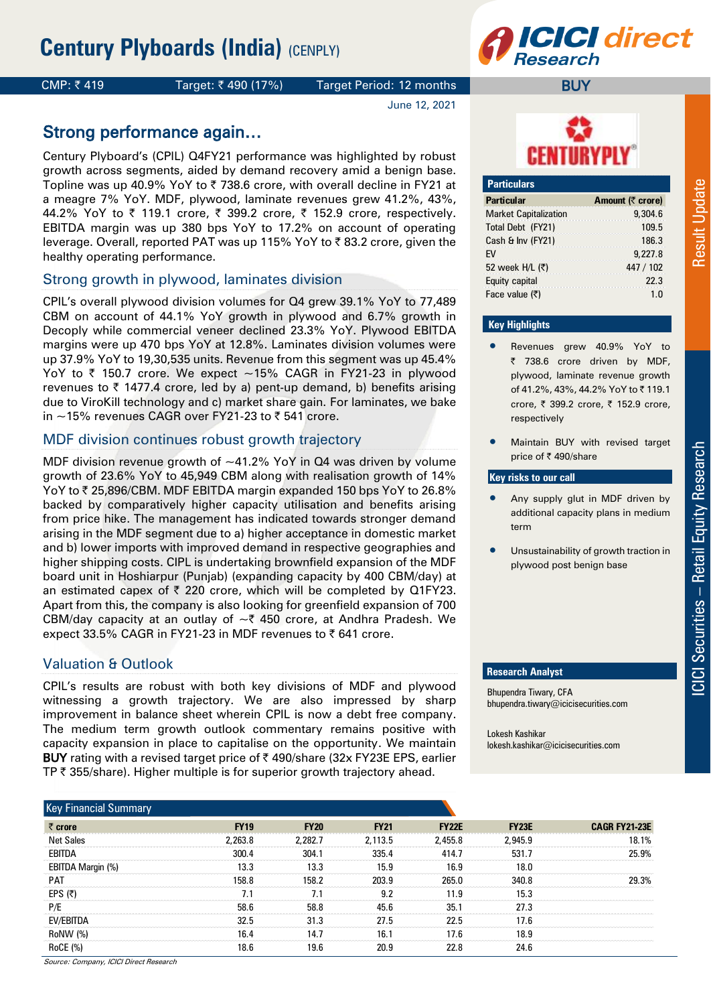

# CMP: ₹419 Target: ₹490 (17%) Target Period: 12 months

June 12, 2021

# Strong performance again…

Century Plyboard's (CPIL) Q4FY21 performance was highlighted by robust growth across segments, aided by demand recovery amid a benign base. Topline was up 40.9% YoY to  $\bar{\tau}$  738.6 crore, with overall decline in FY21 at a meagre 7% YoY. MDF, plywood, laminate revenues grew 41.2%, 43%, 44.2% YoY to ₹ 119.1 crore, ₹ 399.2 crore, ₹ 152.9 crore, respectively. EBITDA margin was up 380 bps YoY to 17.2% on account of operating leverage. Overall, reported PAT was up 115% YoY to ₹83.2 crore, given the healthy operating performance.

# Strong growth in plywood, laminates division

CPIL's overall plywood division volumes for Q4 grew 39.1% YoY to 77,489 CBM on account of 44.1% YoY growth in plywood and 6.7% growth in Decoply while commercial veneer declined 23.3% YoY. Plywood EBITDA margins were up 470 bps YoY at 12.8%. Laminates division volumes were up 37.9% YoY to 19,30,535 units. Revenue from this segment was up 45.4% YoY to  $\bar{\tau}$  150.7 crore. We expect ~15% CAGR in FY21-23 in plywood revenues to  $\bar{\tau}$  1477.4 crore, led by a) pent-up demand, b) benefits arising due to ViroKill technology and c) market share gain. For laminates, we bake in  $\sim$ 15% revenues CAGR over FY21-23 to  $\bar{\tau}$  541 crore.

# MDF division continues robust growth trajectory

MDF division revenue growth of  $~1.2\%$  YoY in Q4 was driven by volume growth of 23.6% YoY to 45,949 CBM along with realisation growth of 14% YoY to ₹25,896/CBM. MDF EBITDA margin expanded 150 bps YoY to 26.8% backed by comparatively higher capacity utilisation and benefits arising from price hike. The management has indicated towards stronger demand arising in the MDF segment due to a) higher acceptance in domestic market and b) lower imports with improved demand in respective geographies and higher shipping costs. CIPL is undertaking brownfield expansion of the MDF board unit in Hoshiarpur (Punjab) (expanding capacity by 400 CBM/day) at an estimated capex of  $\bar{\tau}$  220 crore, which will be completed by Q1FY23. Apart from this, the company is also looking for greenfield expansion of 700 CBM/day capacity at an outlay of  $\sim$  450 crore, at Andhra Pradesh. We expect 33.5% CAGR in FY21-23 in MDF revenues to  $\bar{\tau}$  641 crore.

# Valuation & Outlook

CPIL's results are robust with both key divisions of MDF and plywood witnessing a growth trajectory. We are also impressed by sharp improvement in balance sheet wherein CPIL is now a debt free company. The medium term growth outlook commentary remains positive with capacity expansion in place to capitalise on the opportunity. We maintain BUY rating with a revised target price of  $\bar{\tau}$  490/share (32x FY23E EPS, earlier TP  $\bar{\tau}$  355/share). Higher multiple is for superior growth trajectory ahead.



**BUY** 

| <b>Particulars</b>           |                  |
|------------------------------|------------------|
| <b>Particular</b>            | Amount (₹ crore) |
| <b>Market Capitalization</b> | 9,304.6          |
| Total Debt (FY21)            | 109.5            |
| Cash & Inv (FY21)            | 186.3            |
| <b>FV</b>                    | 9,227.8          |
| 52 week H/L (₹)              | 447 / 102        |
| Equity capital               | 22.3             |
| Face value $(5)$             | 1 N              |

# **Key Highlights**

- Revenues grew 40.9% YoY to ₹ 738.6 crore driven by MDF, plywood, laminate revenue growth of 41.2%, 43%, 44.2% YoY to ₹119.1 crore, ₹ 399.2 crore, ₹ 152.9 crore, respectively
- Maintain BUY with revised target price of ₹490/share

# **Key risks to our call**

- Any supply glut in MDF driven by additional capacity plans in medium term
- Unsustainability of growth traction in plywood post benign base

### **Research Analyst**

Bhupendra Tiwary, CFA bhupendra.tiwary@icicisecurities.com

Lokesh Kashikar lokesh.kashikar@icicisecurities.com

| <b>Key Financial Summary</b> |             |             |             |              |              |                      |
|------------------------------|-------------|-------------|-------------|--------------|--------------|----------------------|
| $\bar{\tau}$ crore           | <b>FY19</b> | <b>FY20</b> | <b>FY21</b> | <b>FY22E</b> | <b>FY23E</b> | <b>CAGR FY21-23E</b> |
| <b>Net Sales</b>             | 2.263.8     | 2.282.7     | 2.113.5     | 2,455.8      | 2.945.9      | 18.1%                |
| EBITDA                       | 300.4       | 304.1       | 335.4       | 414.7        | 531.7        | 25.9%                |
| EBITDA Margin (%)            | 13.3        | 13.3        | 15.9        | 16.9         | 18.0         |                      |
| <b>PAT</b>                   | 158 8       | 158.2       | 203.9       | 265.0        | 340 R        | 29.3%                |
| EPS $(5)$                    |             |             | 92          | 119          | 15.3         |                      |
| P/E                          | 58.6        | 58.8        | 45.6        | 35.1         | 27.3         |                      |
| EV/EBITDA                    | 32.5        | 31.3        | 27.5        | 22.5         | 17.6         |                      |
| RoNW (%)                     | 16.4        | 14.7        | 16.1        | 17.6         | 18.9         |                      |
| <b>RoCE (%)</b>              | 18.6        | 19.6        | 20.9        | 22 R         | 24.6         |                      |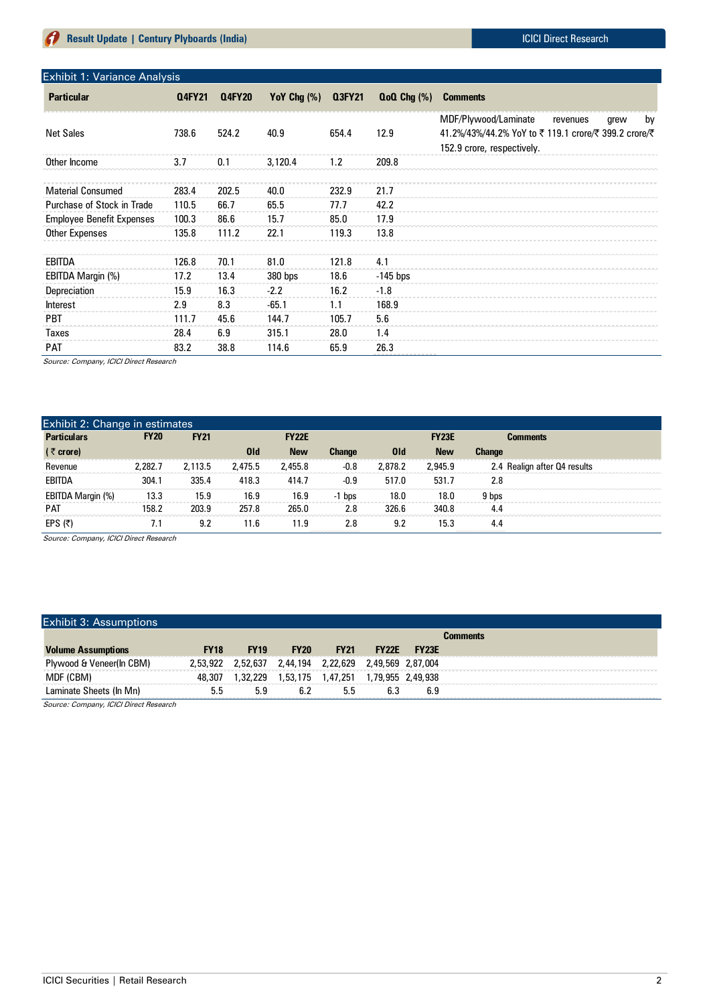| Exhibit 1: Variance Analysis     |               |               |                |        |                  |                                                                                                                                    |
|----------------------------------|---------------|---------------|----------------|--------|------------------|------------------------------------------------------------------------------------------------------------------------------------|
| <b>Particular</b>                | <b>Q4FY21</b> | <b>Q4FY20</b> | YoY Chg $(\%)$ | Q3FY21 | $QoQ Chq$ $(\%)$ | <b>Comments</b>                                                                                                                    |
| <b>Net Sales</b>                 | 738.6         | 524.2         | 40.9           | 654.4  | 12.9             | MDF/Plywood/Laminate<br>by<br>revenues<br>grew<br>41.2%/43%/44.2% YoY to ₹119.1 crore/₹399.2 crore/₹<br>152.9 crore, respectively. |
| Other Income                     | 3.7           | 0.1           | 3,120.4        | 1.2    | 209.8            |                                                                                                                                    |
| <b>Material Consumed</b>         | 283.4         | 202.5         | 40.0           | 232.9  | 21.7             |                                                                                                                                    |
| Purchase of Stock in Trade       | 110.5         | 66.7          | 65.5           | 77.7   | 42.2             |                                                                                                                                    |
| <b>Employee Benefit Expenses</b> | 100.3         | 86.6          | 15.7           | 85.0   | 17.9             |                                                                                                                                    |
| Other Expenses                   | 135.8         | 111.2         | 22.1           | 119.3  | 13.8             |                                                                                                                                    |
| EBITDA                           | 126.8         | 70.1          | 81.0           | 121.8  | 4.1              |                                                                                                                                    |
| EBITDA Margin (%)                | 17.2          | 13.4          | $380$ bps      | 18.6   | $-145$ bps       |                                                                                                                                    |
| Depreciation                     | 15.9          | 16.3          | $-2.2$         | 16.2   | $-1.8$           |                                                                                                                                    |
| <b>Interest</b>                  | 2.9           | 8.3           | $-65.1$        | 1.1    | 168.9            |                                                                                                                                    |
| <b>PBT</b>                       | 111.7         | 45.6          | 144.7          | 105.7  | 5.6              |                                                                                                                                    |
| Taxes                            | 28.4          | 6.9           | 315.1          | 28.0   | 1.4              |                                                                                                                                    |
| <b>PAT</b>                       | 83.2          | 38.8          | 114.6          | 65.9   | 26.3             |                                                                                                                                    |

Source: Company, ICICI Direct Research

| Exhibit 2: Change in estimates |             |             |         |              |               |         |              |               |                              |
|--------------------------------|-------------|-------------|---------|--------------|---------------|---------|--------------|---------------|------------------------------|
| <b>Particulars</b>             | <b>FY20</b> | <b>FY21</b> |         | <b>FY22E</b> |               |         | <b>FY23E</b> |               | <b>Comments</b>              |
| $($ ₹ crore)                   |             |             | 0ld     | <b>New</b>   | <b>Change</b> | 0ld     | <b>New</b>   | <b>Change</b> |                              |
| Revenue                        | 2.282.7     | 2,113.5     | 2.475.5 | 2,455.8      | $-0.8$        | 2,878.2 | 2,945.9      |               | 2.4 Realign after Q4 results |
| <b>EBITDA</b>                  | 304.1       | 335.4       | 418.3   | 414.7        | $-0.9$        | 517.0   | 531.7        | 2.8           |                              |
| EBITDA Margin (%)              | 13.3        | 15.9        | 16.9    | 16.9         | -1 bps        | 18.0    | 18.0         | 9 bps         |                              |
| <b>PAT</b>                     | 158.2       | 203.9       | 257.8   | 265.0        | 2.8           | 326.6   | 340.8        | 4.4           |                              |
| EPS $(5)$                      |             | 9.2         | 11.6    | 11.9         | 2.8           | 9.2     | 15.3         | 4.4           |                              |

Source: Company, ICICI Direct Research

# Exhibit 3: Assumptions

|                                                         |          |             | Comments    |                                     |              |                   |  |
|---------------------------------------------------------|----------|-------------|-------------|-------------------------------------|--------------|-------------------|--|
| <b>Volume Assumptions</b>                               | FY18     | <b>FY19</b> | <b>FY20</b> | <b>FY21</b>                         | <b>FY22E</b> | <b>EY23E</b>      |  |
| Plywood & Veneer(In CBM)                                | 2,53,922 | 2,52,637    |             | 2,44,194 2,22,629 2,49,569 2,87,004 |              |                   |  |
| MDF (CBM)                                               | 48,307   | 1,32,229    |             |                                     |              | 1,79,955 2,49,938 |  |
| Laminate Sheets (In Mn)                                 |          | 5.9         |             |                                     |              |                   |  |
| $\sim$ $\sim$ $\sim$ $\sim$ $\sim$ $\sim$ $\sim$ $\sim$ |          |             |             |                                     |              |                   |  |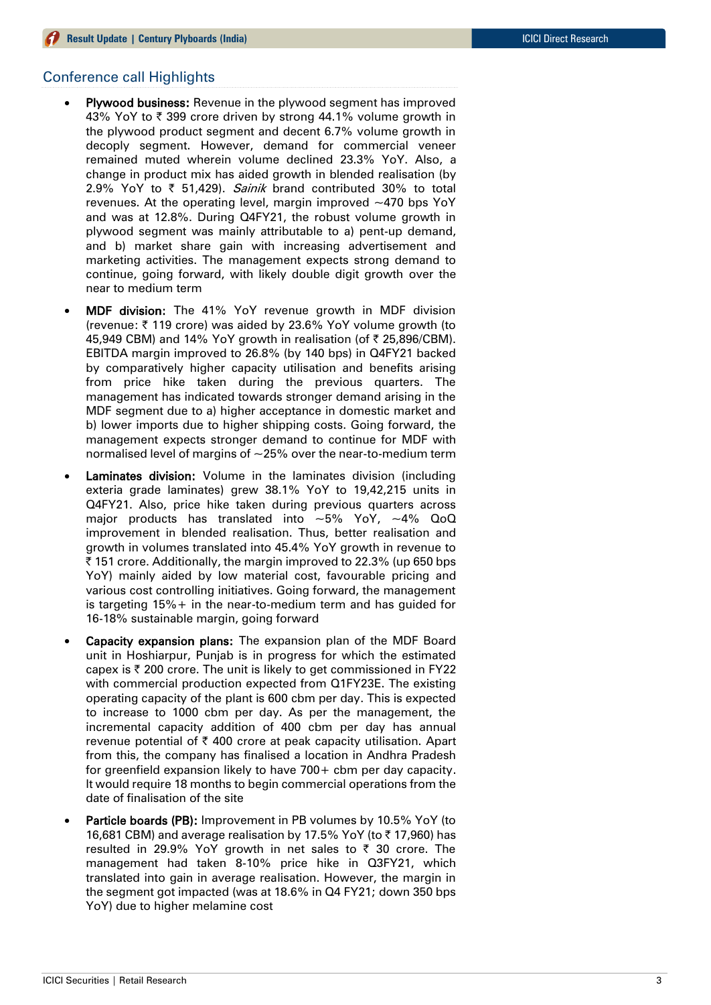# Conference call Highlights

- Plywood business: Revenue in the plywood segment has improved 43% YoY to  $\bar{\tau}$  399 crore driven by strong 44.1% volume growth in the plywood product segment and decent 6.7% volume growth in decoply segment. However, demand for commercial veneer remained muted wherein volume declined 23.3% YoY. Also, a change in product mix has aided growth in blended realisation (by 2.9% YoY to  $\bar{\tau}$  51,429). Sainik brand contributed 30% to total revenues. At the operating level, margin improved ~470 bps YoY and was at 12.8%. During Q4FY21, the robust volume growth in plywood segment was mainly attributable to a) pent-up demand, and b) market share gain with increasing advertisement and marketing activities. The management expects strong demand to continue, going forward, with likely double digit growth over the near to medium term
- MDF division: The 41% YoY revenue growth in MDF division (revenue:  $\bar{\tau}$  119 crore) was aided by 23.6% YoY volume growth (to 45,949 CBM) and 14% YoY growth in realisation (of ₹ 25,896/CBM). EBITDA margin improved to 26.8% (by 140 bps) in Q4FY21 backed by comparatively higher capacity utilisation and benefits arising from price hike taken during the previous quarters. The management has indicated towards stronger demand arising in the MDF segment due to a) higher acceptance in domestic market and b) lower imports due to higher shipping costs. Going forward, the management expects stronger demand to continue for MDF with normalised level of margins of  $\sim$  25% over the near-to-medium term
- Laminates division: Volume in the laminates division (including exteria grade laminates) grew 38.1% YoY to 19,42,215 units in Q4FY21. Also, price hike taken during previous quarters across major products has translated into  $\sim$ 5% YoY,  $\sim$ 4% QoQ improvement in blended realisation. Thus, better realisation and growth in volumes translated into 45.4% YoY growth in revenue to ₹ 151 crore. Additionally, the margin improved to 22.3% (up 650 bps YoY) mainly aided by low material cost, favourable pricing and various cost controlling initiatives. Going forward, the management is targeting 15%+ in the near-to-medium term and has guided for 16-18% sustainable margin, going forward
- Capacity expansion plans: The expansion plan of the MDF Board unit in Hoshiarpur, Punjab is in progress for which the estimated capex is  $\bar{\tau}$  200 crore. The unit is likely to get commissioned in FY22 with commercial production expected from Q1FY23E. The existing operating capacity of the plant is 600 cbm per day. This is expected to increase to 1000 cbm per day. As per the management, the incremental capacity addition of 400 cbm per day has annual revenue potential of  $\bar{\tau}$  400 crore at peak capacity utilisation. Apart from this, the company has finalised a location in Andhra Pradesh for greenfield expansion likely to have 700+ cbm per day capacity. It would require 18 months to begin commercial operations from the date of finalisation of the site
- Particle boards (PB): Improvement in PB volumes by 10.5% YoY (to 16,681 CBM) and average realisation by 17.5% YoY (to  $\bar{\tau}$  17,960) has resulted in 29.9% YoY growth in net sales to  $\bar{\tau}$  30 crore. The management had taken 8-10% price hike in Q3FY21, which translated into gain in average realisation. However, the margin in the segment got impacted (was at 18.6% in Q4 FY21; down 350 bps YoY) due to higher melamine cost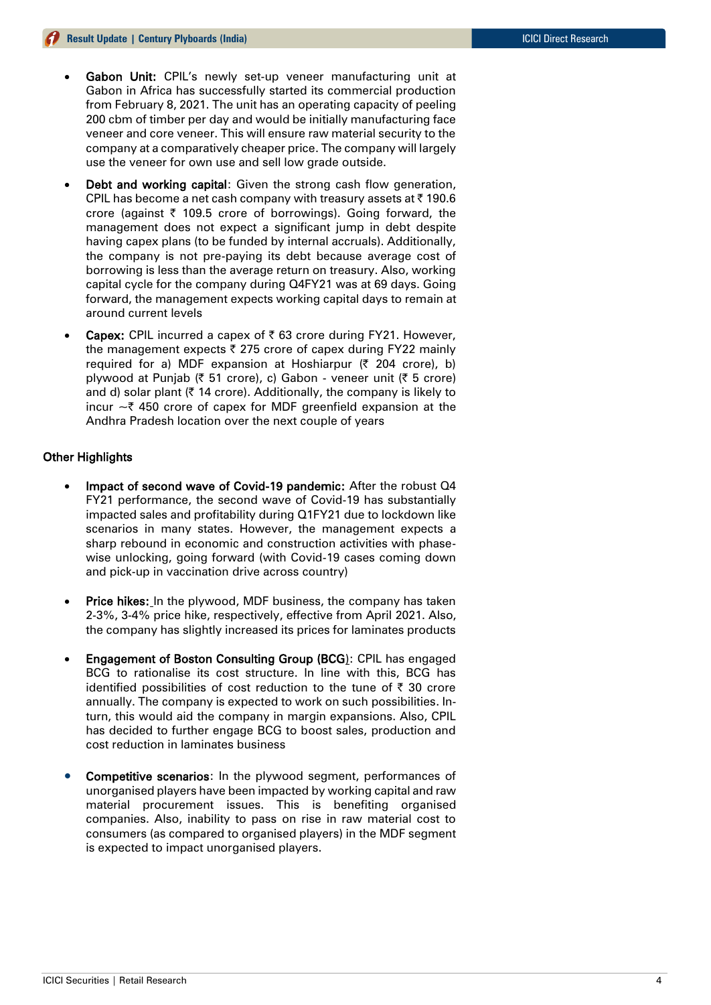- Gabon Unit: CPIL's newly set-up veneer manufacturing unit at Gabon in Africa has successfully started its commercial production from February 8, 2021. The unit has an operating capacity of peeling 200 cbm of timber per day and would be initially manufacturing face veneer and core veneer. This will ensure raw material security to the company at a comparatively cheaper price. The company will largely use the veneer for own use and sell low grade outside.
- Debt and working capital: Given the strong cash flow generation, CPIL has become a net cash company with treasury assets at  $\bar{\tau}$  190.6 crore (against  $\bar{\tau}$  109.5 crore of borrowings). Going forward, the management does not expect a significant jump in debt despite having capex plans (to be funded by internal accruals). Additionally, the company is not pre-paying its debt because average cost of borrowing is less than the average return on treasury. Also, working capital cycle for the company during Q4FY21 was at 69 days. Going forward, the management expects working capital days to remain at around current levels
- **Capex:** CPIL incurred a capex of ₹63 crore during FY21. However, the management expects  $\bar{\tau}$  275 crore of capex during FY22 mainly required for a) MDF expansion at Hoshiarpur  $(3, 204, 200)$ , b) plywood at Punjab ( $\bar{\xi}$  51 crore), c) Gabon - veneer unit ( $\bar{\xi}$  5 crore) and d) solar plant ( $\bar{\tau}$  14 crore). Additionally, the company is likely to incur  $\sim$  7 450 crore of capex for MDF greenfield expansion at the Andhra Pradesh location over the next couple of years

# Other Highlights

- Impact of second wave of Covid-19 pandemic: After the robust Q4 FY21 performance, the second wave of Covid-19 has substantially impacted sales and profitability during Q1FY21 due to lockdown like scenarios in many states. However, the management expects a sharp rebound in economic and construction activities with phasewise unlocking, going forward (with Covid-19 cases coming down and pick-up in vaccination drive across country)
- Price hikes: In the plywood, MDF business, the company has taken 2-3%, 3-4% price hike, respectively, effective from April 2021. Also, the company has slightly increased its prices for laminates products
- Engagement of Boston Consulting Group (BCG): CPIL has engaged BCG to rationalise its cost structure. In line with this, BCG has identified possibilities of cost reduction to the tune of  $\bar{\tau}$  30 crore annually. The company is expected to work on such possibilities. Inturn, this would aid the company in margin expansions. Also, CPIL has decided to further engage BCG to boost sales, production and cost reduction in laminates business
- Competitive scenarios: In the plywood segment, performances of unorganised players have been impacted by working capital and raw material procurement issues. This is benefiting organised companies. Also, inability to pass on rise in raw material cost to consumers (as compared to organised players) in the MDF segment is expected to impact unorganised players.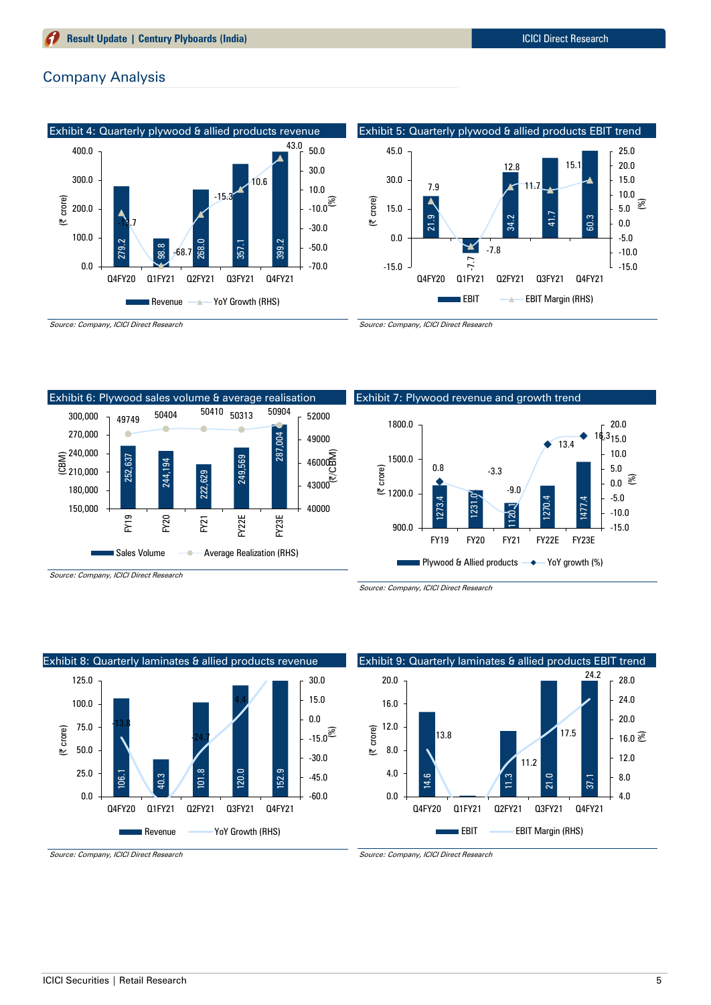# Company Analysis



Exhibit 6: Plywood sales volume & average realisation <sup>49749</sup> <sup>50404</sup> <sup>50410</sup> <sup>50313</sup> <sup>50904</sup> 300,000 52000 270,000 c 287,004 49000 둘 <sup>240,000</sup><br>므 210.000  $\begin{matrix} 2 \\ 46000 \\ 0 \\ \hline \end{matrix}$ 252,637 244,194 249,569 210,000 222,629  $43000$  180,000 150,000 40000 FY19 FY20 FY22E FY23E FY21 Sales Volume **Average Realization (RHS)** 

Source: Company, ICICI Direct Research





Exhibit 9: Quarterly laminates & allied products EBIT trend

 $\frac{3}{11}$ 

Q4FY20 Q1FY21 Q2FY21 Q3FY21 Q4FY21

EBIT **EBIT Margin (RHS)** 

 $\overline{z}$ 

11.2

37.1

4.0 8.0 12.0  $16.0 \mathrel{\widehat{\otimes}}$ 20.0 24.0 28.0

24.2

17.5

Source: Company, ICICI Direct Research



#### Source: Company, ICICI Direct Research

Source: Company, ICICI Direct Research

14.6

0.0 4.0 8.0

12.0 16.0 20.0

(| crore)

13.8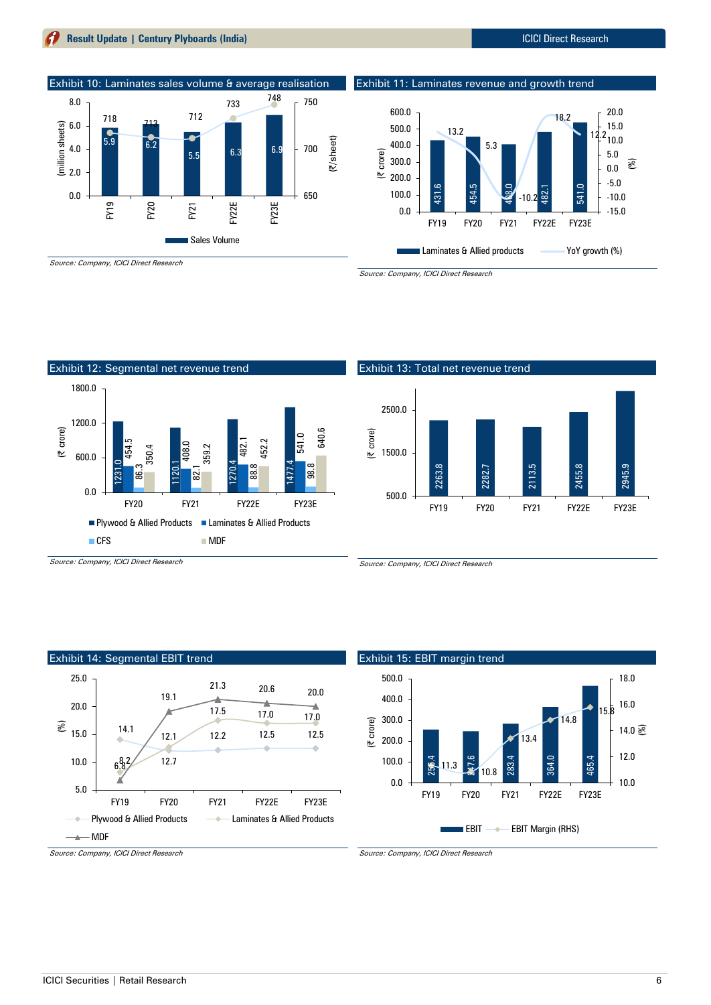# **Result Update | Century Plyboards (India)** ICICI Direct Research







Source: Company, ICICI Direct Research



Source: Company, ICICI Direct Research





#### Exhibit 15: EBIT margin trend 256.4 **24**7.6 283.4 364.0 465.4  $11.3$   $\frac{1}{2}$  10.8 13.4 14.8 15.8 10.0 12.0 14.0 S 16.0 18.0 0.0 100.0 200.0 300.0 400.0 500.0 FY19 FY20 FY21 FY22E FY23E (| crore)  $\blacksquare$  EBIT  $\rightarrow$  EBIT Margin (RHS)

Source: Company, ICICI Direct Research

# Exhibit 13: Total net revenue trend

Source: Company, ICICI Direct Research



Exhibit 11: Laminates revenue and growth trend

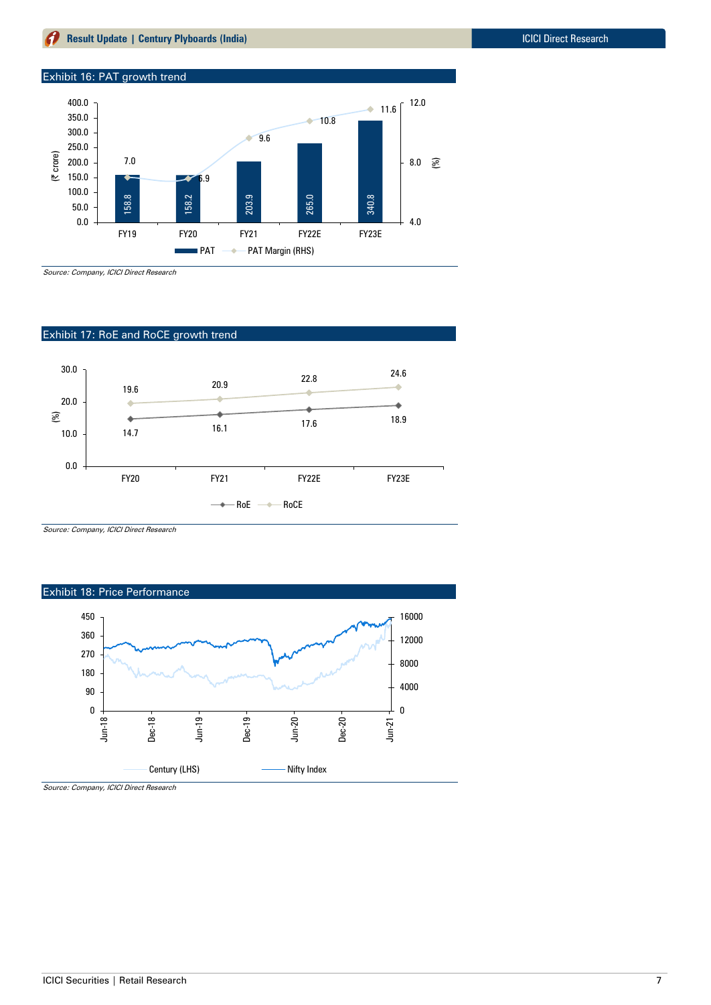# Exhibit 16: PAT growth trend



Source: Company, ICICI Direct Research

# Exhibit 17: RoE and RoCE growth trend



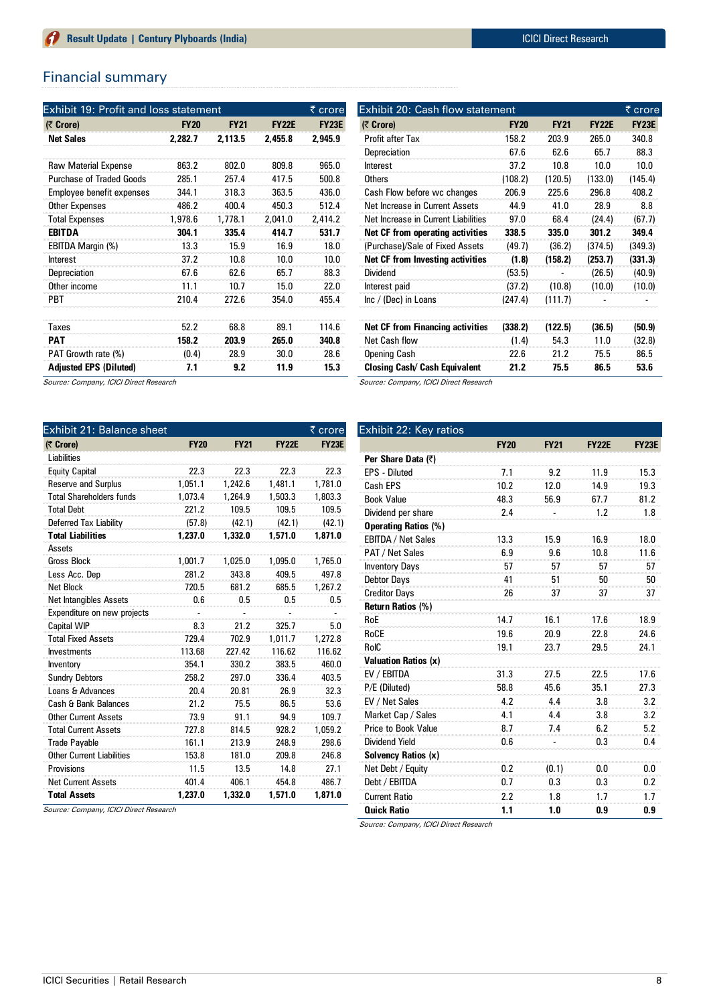# Financial summary

| <b>Exhibit 19: Profit and loss statement</b> |             |             |              | ₹ crore      |
|----------------------------------------------|-------------|-------------|--------------|--------------|
| (₹ Crore)                                    | <b>FY20</b> | <b>FY21</b> | <b>FY22E</b> | <b>FY23E</b> |
| <b>Net Sales</b>                             | 2.282.7     | 2.113.5     | 2.455.8      | 2.945.9      |
| <b>Raw Material Expense</b>                  | 863.2       | 802.0       | 809.8        | 965.0        |
| <b>Purchase of Traded Goods</b>              | 285.1       | 257.4       | 417.5        | 500.8        |
| Employee benefit expenses                    | 344.1       | 318.3       | 363.5        | 436.0        |
| <b>Other Expenses</b>                        | 486.2       | 400.4       | 450.3        | 512.4        |
| <b>Total Expenses</b>                        | 1,978.6     | 1,778.1     | 2.041.0      | 2.414.2      |
| <b>EBITDA</b>                                | 304.1       | 335.4       | 414.7        | 531.7        |
| EBITDA Margin (%)                            | 13.3        | 15.9        | 16.9         | 18.0         |
| Interest                                     | 37.2        | 10.8        | 10.0         | 10.0         |
| Depreciation                                 | 67.6        | 62.6        | 65.7         | 88.3         |
| Other income                                 | 11.1        | 10.7        | 15.0         | 22.0         |
| <b>PBT</b>                                   | 210.4       | 272.6       | 354.0        | 455.4        |
| Taxes                                        | 52.2        | 68.8        | 89.1         | 114.6        |
| <b>PAT</b>                                   | 158.2       | 203.9       | 265.0        | 340.8        |
| PAT Growth rate (%)                          | (0.4)       | 28.9        | 30.0         | 28.6         |
| <b>Adjusted EPS (Diluted)</b>                | 7.1         | 9.2         | 11.9         | 15.3         |

| Exhibit 20: Cash flow statement         |             |             |              |              |  |  |  |  |
|-----------------------------------------|-------------|-------------|--------------|--------------|--|--|--|--|
| (₹ Crore)                               | <b>FY20</b> | <b>FY21</b> | <b>FY22E</b> | <b>FY23E</b> |  |  |  |  |
| Profit after Tax                        | 158.2       | 203.9       | 265.0        | 340.8        |  |  |  |  |
| Depreciation                            | 67.6        | 62.6        | 65.7         | 88.3         |  |  |  |  |
| Interest                                | 37.2        | 10.8        | 10.0         | 10.0         |  |  |  |  |
| <b>Others</b>                           | (108.2)     | (120.5)     | (133.0)      | (145.4)      |  |  |  |  |
| Cash Flow before wc changes             | 206.9       | 225.6       | 296.8        | 408.2        |  |  |  |  |
| Net Increase in Current Assets          | 44.9        | 41.0        | 28.9         | 8.8          |  |  |  |  |
| Net Increase in Current Liabilities     | 97.0        | 68.4        | (24.4)       | (67.7)       |  |  |  |  |
| Net CF from operating activities        | 338.5       | 335.0       | 301.2        | 349.4        |  |  |  |  |
| (Purchase)/Sale of Fixed Assets         | (49.7)      | (36.2)      | (374.5)      | (349.3)      |  |  |  |  |
| Net CF from Investing activities        | (1.8)       | (158.2)     | (253.7)      | (331.3)      |  |  |  |  |
| Dividend                                | (53.5)      |             | (26.5)       | (40.9)       |  |  |  |  |
| Interest paid                           | (37.2)      | (10.8)      | (10.0)       | (10.0)       |  |  |  |  |
| $Inc / (Dec)$ in Loans                  | (247.4)     | (111.7)     |              |              |  |  |  |  |
| <b>Net CF from Financing activities</b> | (338.2)     | (122.5)     | (36.5)       | (50.9)       |  |  |  |  |
| <b>Net Cash flow</b>                    | (1.4)       | 54.3        | 11.0         | (32.8)       |  |  |  |  |
| <b>Opening Cash</b>                     | 22.6        | 21.2        | 75.5         | 86.5         |  |  |  |  |
| <b>Closing Cash/ Cash Equivalent</b>    | 21.2        | 75.5        | 86.5         | 53.6         |  |  |  |  |

Source: Company, ICICI Direct Research

| Exhibit 21: Balance sheet        |             |             |              | ₹ crore      |
|----------------------------------|-------------|-------------|--------------|--------------|
| (₹ Crore)                        | <b>FY20</b> | <b>FY21</b> | <b>FY22E</b> | <b>FY23E</b> |
| Liabilities                      |             |             |              |              |
| <b>Equity Capital</b>            | 22.3        | 22.3        | 22.3         | 22.3         |
| <b>Reserve and Surplus</b>       | 1.051.1     | 1.242.6     | 1.481.1      | 1.781.0      |
| <b>Total Shareholders funds</b>  | 1,073.4     | 1,264.9     | 1,503.3      | 1,803.3      |
| <b>Total Debt</b>                | 221.2       | 109.5       | 109.5        | 109.5        |
| Deferred Tax Liability           | (57.8)      | (42.1)      | (42.1)       | (42.1)       |
| <b>Total Liabilities</b>         | 1,237.0     | 1,332.0     | 1,571.0      | 1,871.0      |
| Assets                           |             |             |              |              |
| <b>Gross Block</b>               | 1,001.7     | 1,025.0     | 1,095.0      | 1,765.0      |
| Less Acc. Dep                    | 281.2       | 343.8       | 409.5        | 497.8        |
| <b>Net Block</b>                 | 720.5       | 681.2       | 685.5        | 1,267.2      |
| <b>Net Intangibles Assets</b>    | 0.6         | 0.5         | 0.5          | 0.5          |
| Expenditure on new projects      |             |             |              |              |
| <b>Capital WIP</b>               | 8.3         | 21.2        | 325.7        | 5.0          |
| <b>Total Fixed Assets</b>        | 729.4       | 702.9       | 1,011.7      | 1,272.8      |
| <b>Investments</b>               | 113.68      | 227.42      | 116.62       | 116.62       |
| Inventory                        | 354.1       | 330.2       | 383.5        | 460.0        |
| <b>Sundry Debtors</b>            | 258.2       | 297.0       | 336.4        | 403.5        |
| Loans & Advances                 | 20.4        | 20.81       | 26.9         | 32.3         |
| Cash & Bank Balances             | 21.2        | 75.5        | 86.5         | 53.6         |
| <b>Other Current Assets</b>      | 73.9        | 91.1        | 94.9         | 109.7        |
| <b>Total Current Assets</b>      | 727.8       | 814.5       | 928.2        | 1,059.2      |
| <b>Trade Payable</b>             | 161.1       | 213.9       | 248.9        | 298.6        |
| <b>Other Current Liabilities</b> | 153.8       | 181.0       | 209.8        | 246.8        |
| Provisions                       | 11.5        | 13.5        | 14.8         | 27.1         |
| <b>Net Current Assets</b>        | 401.4       | 406.1       | 454.8        | 486.7        |
| <b>Total Assets</b>              | 1.237.0     | 1.332.0     | 1.571.0      | 1.871.0      |

Source: Company, ICICI Direct Research

Exhibit 22: Key ratios **FY20 FY21 FY22E FY23E Per Share Data (₹)** EPS - Diluted **7.1** 9.2 11.9 15.3 Cash EPS 10.2 12.0 14.9 19.3 Book Value 48.3 56.9 67.7 81.2 Dividend per share 2.4 - 1.2 1.8 **Operating Ratios (%)** EBITDA / Net Sales 13.3 15.9 16.9 18.0 PAT / Net Sales 6.9 6.9 9.6 10.8 11.6 Inventory Days 57 57 57 57 57 57 Debtor Days **41** 51 50 50 Creditor Days 26 37 37 37 37 **Return Ratios (%)** RoE 14.7 16.1 17.6 18.9 RoCE 19.6 20.9 22.8 24.6 RoIC 19.1 23.7 29.5 24.1 **Valuation Ratios (x)** EV / EBITDA 31.3 27.5 22.5 17.6 P/E (Diluted) 58.8 45.6 35.1 27.3 EV / Net Sales 4.2 4.4 3.8 3.2 Market Cap / Sales 4.1 4.4 3.8 3.2 Price to Book Value 8.7 8.7 8.2 5.2 Dividend Yield 0.6 - 0.3 0.4 **Solvency Ratios (x)** Net Debt / Equity 0.2 (0.1) 0.0 0.0 Debt / EBITDA 0.7 0.3 0.3 0.2 Current Ratio 2.2 1.8 1.7 1.7 **Quick Ratio 1.1 1.0 0.9 0.9**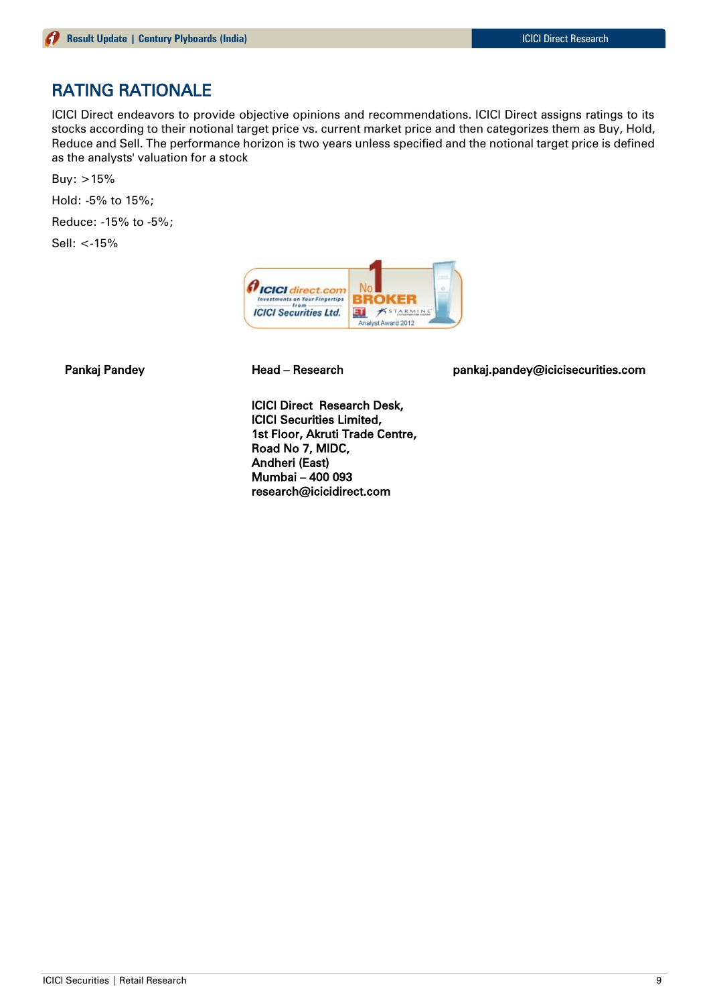# RATING RATIONALE

ICICI Direct endeavors to provide objective opinions and recommendations. ICICI Direct assigns ratings to its stocks according to their notional target price vs. current market price and then categorizes them as Buy, Hold, Reduce and Sell. The performance horizon is two years unless specified and the notional target price is defined as the analysts' valuation for a stock

Buy: >15%

Hold: -5% to 15%;

Reduce: -15% to -5%;

Sell: <-15%



Pankaj Pandey **Head – Research head pankaj.pandey@icicisecurities.com** 

ICICI Direct Research Desk, ICICI Securities Limited, 1st Floor, Akruti Trade Centre, Road No 7, MIDC, Andheri (East) Mumbai – 400 093 research@icicidirect.com